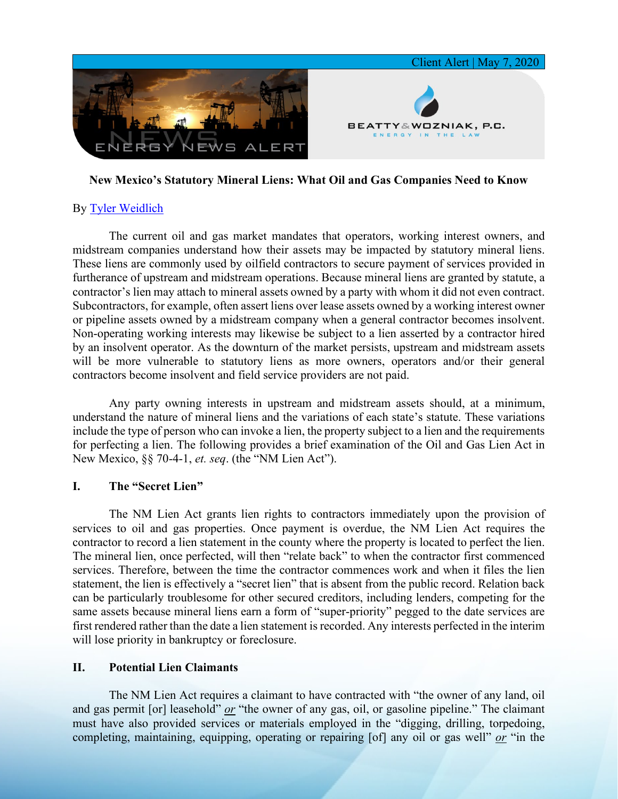

## **New Mexico's Statutory Mineral Liens: What Oil and Gas Companies Need to Know**

# By [Tyler Weidlich](https://www.bwenergylaw.com/tyler-weidlich)

The current oil and gas market mandates that operators, working interest owners, and midstream companies understand how their assets may be impacted by statutory mineral liens. These liens are commonly used by oilfield contractors to secure payment of services provided in furtherance of upstream and midstream operations. Because mineral liens are granted by statute, a contractor's lien may attach to mineral assets owned by a party with whom it did not even contract. Subcontractors, for example, often assert liens over lease assets owned by a working interest owner or pipeline assets owned by a midstream company when a general contractor becomes insolvent. Non-operating working interests may likewise be subject to a lien asserted by a contractor hired by an insolvent operator. As the downturn of the market persists, upstream and midstream assets will be more vulnerable to statutory liens as more owners, operators and/or their general contractors become insolvent and field service providers are not paid.

Any party owning interests in upstream and midstream assets should, at a minimum, understand the nature of mineral liens and the variations of each state's statute. These variations include the type of person who can invoke a lien, the property subject to a lien and the requirements for perfecting a lien. The following provides a brief examination of the Oil and Gas Lien Act in New Mexico, §§ 70-4-1, *et. seq*. (the "NM Lien Act").

## **I. The "Secret Lien"**

The NM Lien Act grants lien rights to contractors immediately upon the provision of services to oil and gas properties. Once payment is overdue, the NM Lien Act requires the contractor to record a lien statement in the county where the property is located to perfect the lien. The mineral lien, once perfected, will then "relate back" to when the contractor first commenced services. Therefore, between the time the contractor commences work and when it files the lien statement, the lien is effectively a "secret lien" that is absent from the public record. Relation back can be particularly troublesome for other secured creditors, including lenders, competing for the same assets because mineral liens earn a form of "super-priority" pegged to the date services are first rendered rather than the date a lien statement is recorded. Any interests perfected in the interim will lose priority in bankruptcy or foreclosure.

#### **II. Potential Lien Claimants**

The NM Lien Act requires a claimant to have contracted with "the owner of any land, oil and gas permit [or] leasehold" *or* "the owner of any gas, oil, or gasoline pipeline." The claimant must have also provided services or materials employed in the "digging, drilling, torpedoing, completing, maintaining, equipping, operating or repairing [of] any oil or gas well" *or* "in the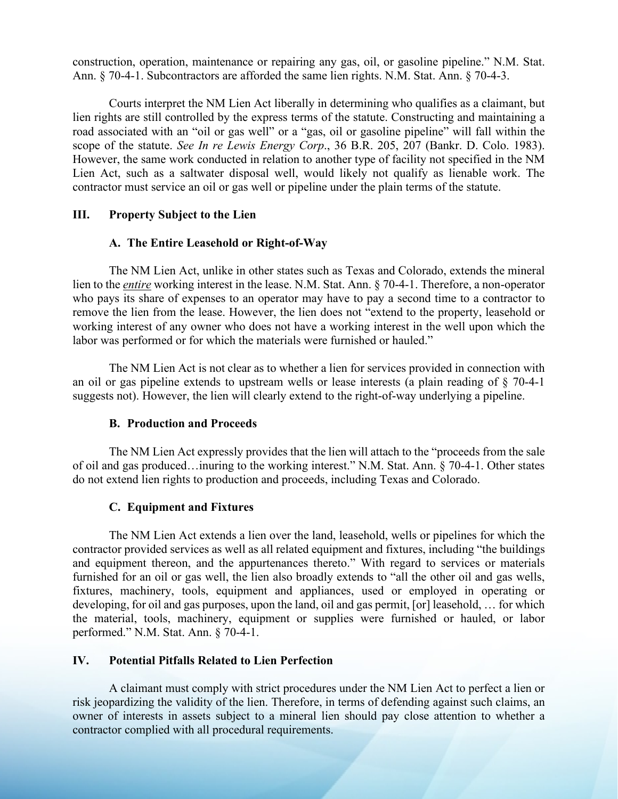construction, operation, maintenance or repairing any gas, oil, or gasoline pipeline." N.M. Stat. Ann. § 70-4-1. Subcontractors are afforded the same lien rights. N.M. Stat. Ann. § 70-4-3.

Courts interpret the NM Lien Act liberally in determining who qualifies as a claimant, but lien rights are still controlled by the express terms of the statute. Constructing and maintaining a road associated with an "oil or gas well" or a "gas, oil or gasoline pipeline" will fall within the scope of the statute. *See In re Lewis Energy Corp*., 36 B.R. 205, 207 (Bankr. D. Colo. 1983). However, the same work conducted in relation to another type of facility not specified in the NM Lien Act, such as a saltwater disposal well, would likely not qualify as lienable work. The contractor must service an oil or gas well or pipeline under the plain terms of the statute.

#### **III. Property Subject to the Lien**

### **A. The Entire Leasehold or Right-of-Way**

The NM Lien Act, unlike in other states such as Texas and Colorado, extends the mineral lien to the *entire* working interest in the lease. N.M. Stat. Ann. § 70-4-1. Therefore, a non-operator who pays its share of expenses to an operator may have to pay a second time to a contractor to remove the lien from the lease. However, the lien does not "extend to the property, leasehold or working interest of any owner who does not have a working interest in the well upon which the labor was performed or for which the materials were furnished or hauled."

The NM Lien Act is not clear as to whether a lien for services provided in connection with an oil or gas pipeline extends to upstream wells or lease interests (a plain reading of § 70-4-1 suggests not). However, the lien will clearly extend to the right-of-way underlying a pipeline.

#### **B. Production and Proceeds**

The NM Lien Act expressly provides that the lien will attach to the "proceeds from the sale of oil and gas produced…inuring to the working interest." N.M. Stat. Ann. § 70-4-1. Other states do not extend lien rights to production and proceeds, including Texas and Colorado.

## **C. Equipment and Fixtures**

The NM Lien Act extends a lien over the land, leasehold, wells or pipelines for which the contractor provided services as well as all related equipment and fixtures, including "the buildings and equipment thereon, and the appurtenances thereto." With regard to services or materials furnished for an oil or gas well, the lien also broadly extends to "all the other oil and gas wells, fixtures, machinery, tools, equipment and appliances, used or employed in operating or developing, for oil and gas purposes, upon the land, oil and gas permit, [or] leasehold, … for which the material, tools, machinery, equipment or supplies were furnished or hauled, or labor performed." N.M. Stat. Ann. § 70-4-1.

## **IV. Potential Pitfalls Related to Lien Perfection**

A claimant must comply with strict procedures under the NM Lien Act to perfect a lien or risk jeopardizing the validity of the lien. Therefore, in terms of defending against such claims, an owner of interests in assets subject to a mineral lien should pay close attention to whether a contractor complied with all procedural requirements.